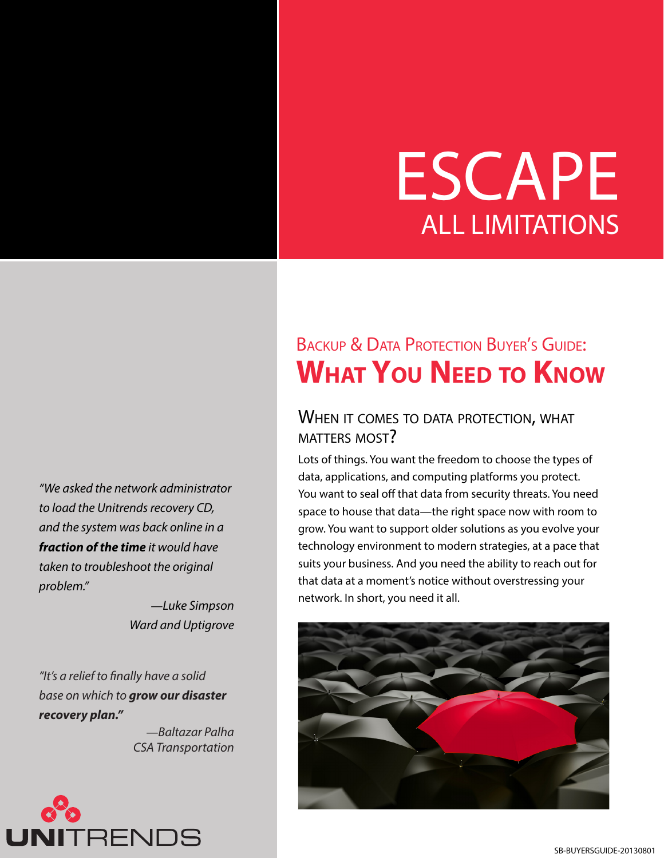# ESCAPE ALL LIMITATIONS

BACKUP & DATA PROTECTION BUYER'S GUIDE: **What You Need to Know**

### WHEN IT COMES TO DATA PROTECTION, WHAT matters most?

Strong Data Protection for Microsoft Server 2012: **Unitrends**

Lots of things. You want the freedom to choose the types of data, applications, and computing platforms you protect. You want to seal off that data from security threats. You need space to house that data—the right space now with room to grow. You want to support older solutions as you evolve your technology environment to modern strategies, at a pace that suits your business. And you need the ability to reach out for that data at a moment's notice without overstressing your network. In short, you need it all.



*"We asked the network administrator to load the Unitrends recovery CD, and the system was back online in a fraction of the time it would have taken to troubleshoot the original problem."*

> —*Luke Simpson Ward and Uptigrove*

*"It's a relief to finally have a solid base on which to grow our disaster recovery plan."*

> —*Baltazar Palha CSA Transportation*

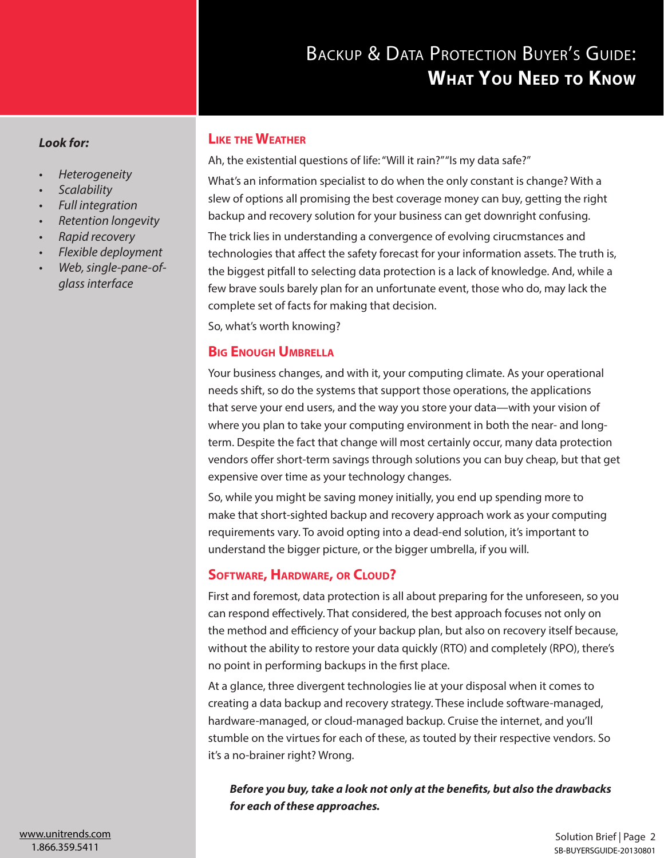#### *Look for:*

- *• Heterogeneity*
- *• Scalability*
- *• Full integration*
- *• Retention longevity*
- *• Rapid recovery*
- *• Flexible deployment*
- *• Web, single-pane-ofglass interface*

#### **Like the Weather**

Ah, the existential questions of life: "Will it rain?" "Is my data safe?" What's an information specialist to do when the only constant is change? With a slew of options all promising the best coverage money can buy, getting the right backup and recovery solution for your business can get downright confusing. The trick lies in understanding a convergence of evolving cirucmstances and technologies that affect the safety forecast for your information assets. The truth is, the biggest pitfall to selecting data protection is a lack of [knowledge. A](knowledge.True)nd, while a few brave souls barely plan for an unfortunate event, those who do, may lack the complete set of facts for making that decision.

So, what's worth knowing?

#### **Big Enough Umbrella**

Your business changes, and with it, your computing climate. As your operational needs shift, so do the systems that support those operations, the applications that serve your end users, and the way you store your data—with your vision of where you plan to take your computing environment in both the near- and longterm. Despite the fact that change will most certainly occur, many data protection vendors offer short-term savings through solutions you can buy cheap, but that get expensive over time as your technology changes.

So, while you might be saving money initially, you end up spending more to make that short-sighted backup and recovery approach work as your computing requirements vary. To avoid opting into a dead-end solution, it's important to understand the bigger picture, or the bigger umbrella, if you will.

#### **Software, Hardware, or Cloud?**

First and foremost, data protection is all about preparing for the unforeseen, so you can respond effectively. That considered, the best approach focuses not only on the method and efficiency of your backup plan, but also on recovery itself because, without the ability to restore your data quickly (RTO) and completely (RPO), there's no point in performing backups in the first place.

At a glance, three divergent technologies lie at your disposal when it comes to creating a data backup and recovery strategy. These include software-managed, hardware-managed, or cloud-managed backup. Cruise the internet, and you'll stumble on the virtues for each of these, as touted by their respective vendors. So it's a no-brainer right? Wrong.

*Before you buy, take a look not only at the benefits, but also the drawbacks for each of these approaches.*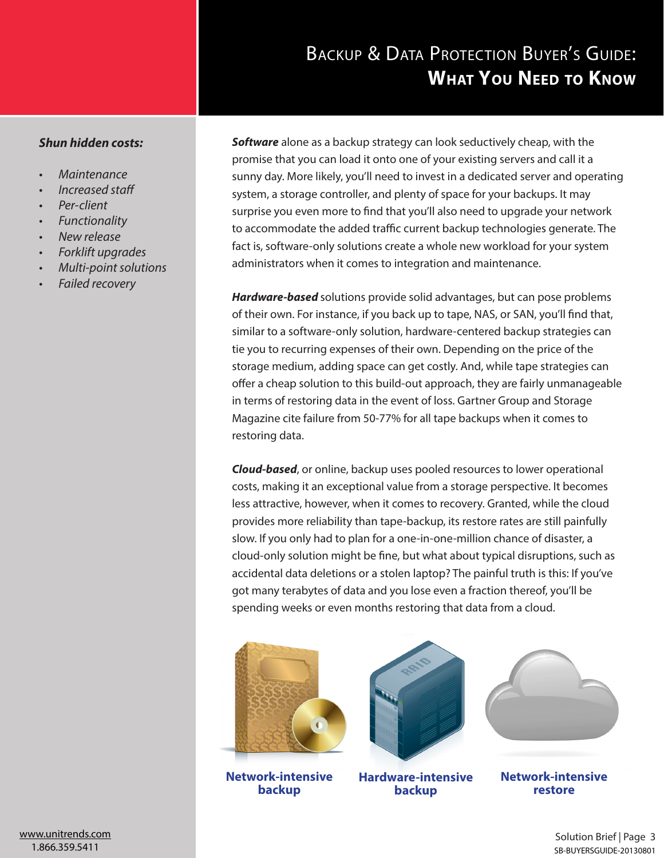#### *Shun hidden costs:*

- *• Maintenance*
- *• Increased staff*
- *• Per-client*
- *• Functionality*
- *• New release*
- *• Forklift upgrades*
- *• Multi-point solutions*
- *• Failed recovery*

*Software* alone as a backup strategy can look seductively cheap, with the promise that you can load it onto one of your existing servers and call it a sunny day. More likely, you'll need to invest in a dedicated server and operating system, a storage controller, and plenty of space for your backups. It may surprise you even more to find that you'll also need to upgrade your network to accommodate the added traffic current backup technologies generate. The fact is, software-only solutions create a whole new workload for your system administrators when it comes to integration and maintenance.

*Hardware-based* solutions provide solid advantages, but can pose problems of their own. For instance, if you back up to tape, NAS, or SAN, you'll find that, similar to a software-only solution, hardware-centered backup strategies can tie you to recurring expenses of their own. Depending on the price of the storage medium, adding space can get costly. And, while tape strategies can offer a cheap solution to this build-out approach, they are fairly unmanageable in terms of restoring data in the event of loss. Gartner Group and Storage Magazine cite failure from 50-77% for all tape backups when it comes to restoring data.

*Cloud-based*, or online, backup uses pooled resources to lower operational costs, making it an exceptional value from a storage perspective. It becomes less attractive, however, when it comes to recovery. Granted, while the cloud provides more reliability than tape-backup, its restore rates are still painfully slow. If you only had to plan for a one-in-one-million chance of disaster, a cloud-only solution might be fine, but what about typical disruptions, such as accidental data deletions or a stolen laptop? The painful truth is this: If you've got many terabytes of data and you lose even a fraction thereof, you'll be spending weeks or even months restoring that data from a cloud.



**Network-intensive backup**



**Hardware-intensive backup**



**Network-intensive restore**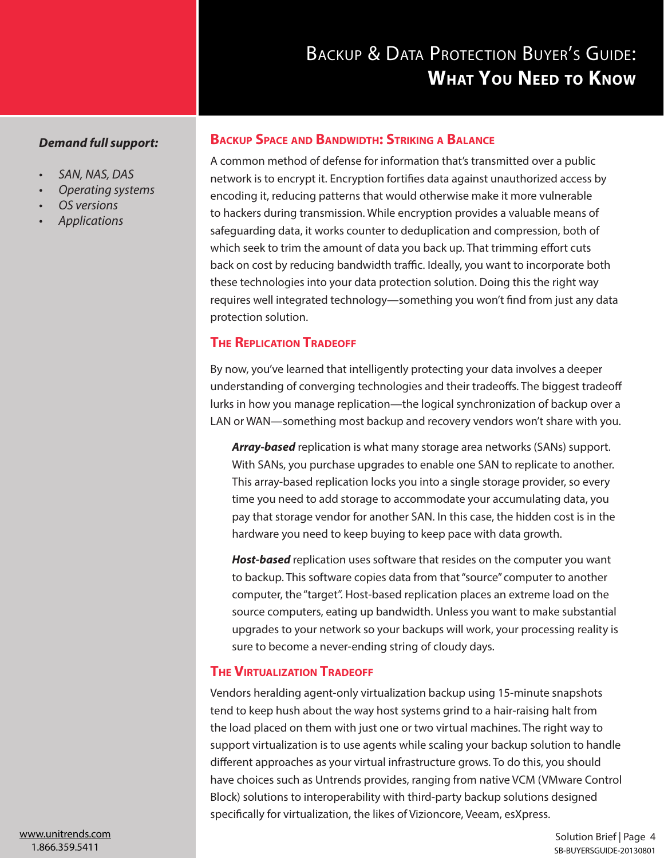#### *Demand full support:*

- *• SAN, NAS, DAS*
- *• Operating systems*
- *• OS versions*
- *• Applications*

#### **Backup Space and Bandwidth: Striking a Balance**

A common method of defense for information that's transmitted over a public network is to encrypt it. Encryption fortifies data against unauthorized access by encoding it, reducing patterns that would otherwise make it more vulnerable to hackers during transmission. While encryption provides a valuable means of safeguarding data, it works counter to deduplication and compression, both of which seek to trim the amount of data you back up. That trimming effort cuts back on cost by reducing bandwidth traffic. Ideally, you want to incorporate both these technologies into your data protection solution. Doing this the right way requires well integrated technology—something you won't find from just any data protection solution.

#### **The Replication Tradeoff**

By now, you've learned that intelligently protecting your data involves a deeper understanding of converging technologies and their tradeoffs. The biggest tradeoff lurks in how you manage replication—the logical synchronization of backup over a LAN or WAN—something most backup and recovery vendors won't share with you.

*Array-based* replication is what many storage area networks (SANs) support. With SANs, you purchase upgrades to enable one SAN to replicate to another. This array-based replication locks you into a single storage provider, so every time you need to add storage to accommodate your accumulating data, you pay that storage vendor for another SAN. In this case, the hidden cost is in the hardware you need to keep buying to keep pace with data growth.

*Host-based* replication uses software that resides on the computer you want to backup. This software copies data from that "source" computer to another computer, the "target". Host-based replication places an extreme load on the source computers, eating up bandwidth. Unless you want to make substantial upgrades to your network so your backups will work, your processing reality is sure to become a never-ending string of cloudy days.

#### **The Virtualization Tradeoff**

Vendors heralding agent-only virtualization backup using 15-minute snapshots tend to keep hush about the way host systems grind to a hair-raising halt from the load placed on them with just one or two virtual machines. The right way to support virtualization is to use agents while scaling your backup solution to handle different approaches as your virtual infrastructure grows. To do this, you should have choices such as Untrends provides, ranging from native VCM (VMware Control Block) solutions to interoperability with third-party backup solutions designed specifically for virtualization, the likes of Vizioncore, Veeam, esXpress.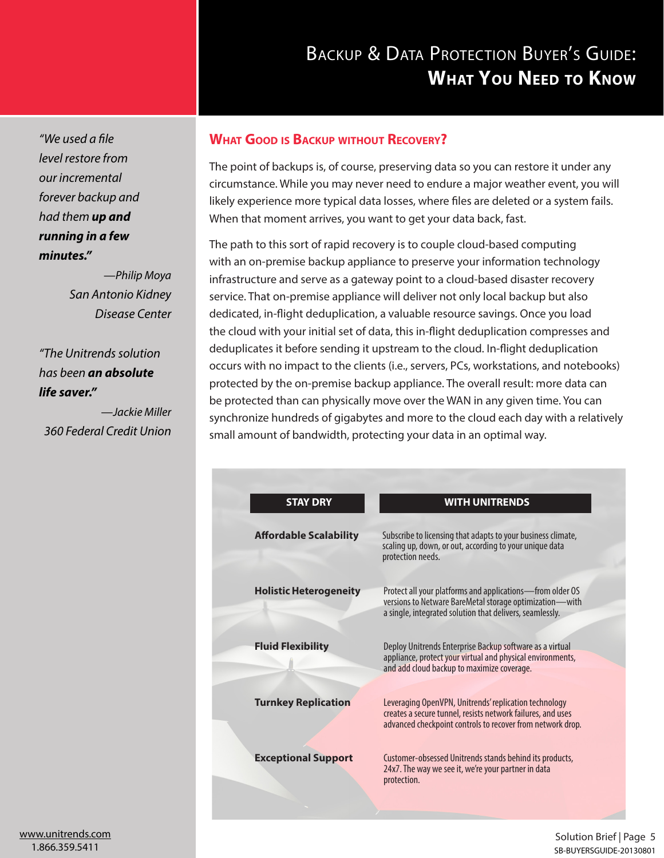*"We used a file level restore from our incremental forever backup and had them up and running in a few minutes."*

> —*Philip Moya San Antonio Kidney Disease Center*

*"The Unitrends solution has been an absolute life saver."*

—*Jackie Miller 360 Federal Credit Union*

#### **What Good is Backup without Recovery?**

The point of backups is, of course, preserving data so you can restore it under any circumstance. While you may never need to endure a major weather event, you will likely experience more typical data losses, where files are deleted or a system fails. When that moment arrives, you want to get your data back, fast.

The path to this sort of rapid recovery is to couple cloud-based computing with an on-premise backup appliance to preserve your information technology infrastructure and serve as a gateway point to a cloud-based disaster recovery service. That on-premise appliance will deliver not only local backup but also dedicated, in-flight deduplication, a valuable resource savings. Once you load the cloud with your initial set of data, this in-flight deduplication compresses and deduplicates it before sending it upstream to the cloud. In-flight deduplication occurs with no impact to the clients (i.e., servers, PCs, workstations, and notebooks) protected by the on-premise backup appliance. The overall result: more data can be protected than can physically move over the WAN in any given time. You can synchronize hundreds of gigabytes and more to the cloud each day with a relatively small amount of bandwidth, protecting your data in an optimal way.

| <b>STAY DRY</b>               | <b>WITH UNITRENDS</b>                                                                                                                                                              |
|-------------------------------|------------------------------------------------------------------------------------------------------------------------------------------------------------------------------------|
| <b>Affordable Scalability</b> | Subscribe to licensing that adapts to your business climate,<br>scaling up, down, or out, according to your unique data<br>protection needs.                                       |
| <b>Holistic Heterogeneity</b> | Protect all your platforms and applications-from older OS<br>versions to Netware BareMetal storage optimization-with<br>a single, integrated solution that delivers, seamlessly.   |
| <b>Fluid Flexibility</b>      | Deploy Unitrends Enterprise Backup software as a virtual<br>appliance, protect your virtual and physical environments,<br>and add cloud backup to maximize coverage.               |
| <b>Turnkey Replication</b>    | Leveraging OpenVPN, Unitrends' replication technology<br>creates a secure tunnel, resists network failures, and uses<br>advanced checkpoint controls to recover from network drop. |
| <b>Exceptional Support</b>    | Customer-obsessed Unitrends stands behind its products,<br>24x7. The way we see it, we're your partner in data<br>protection.                                                      |